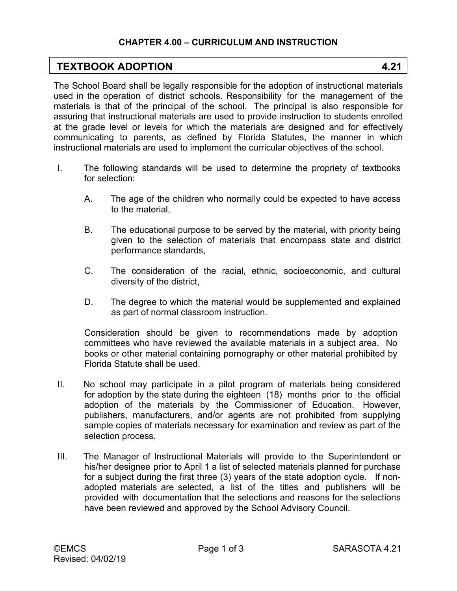## **CHAPTER 4.00 – CURRICULUM AND INSTRUCTION**

## **TEXTBOOK ADOPTION 4.21**

The School Board shall be legally responsible for the adoption of instructional materials used in the operation of district schools. Responsibility for the management of the materials is that of the principal of the school. The principal is also responsible for assuring that instructional materials are used to provide instruction to students enrolled at the grade level or levels for which the materials are designed and for effectively communicating to parents, as defined by Florida Statutes, the manner in which instructional materials are used to implement the curricular objectives of the school.

- I. The following standards will be used to determine the propriety of textbooks for selection:
	- A. The age of the children who normally could be expected to have access to the material,
	- B. The educational purpose to be served by the material, with priority being given to the selection of materials that encompass state and district performance standards,
	- C. The consideration of the racial, ethnic, socioeconomic, and cultural diversity of the district,
	- D. The degree to which the material would be supplemented and explained as part of normal classroom instruction.

Consideration should be given to recommendations made by adoption committees who have reviewed the available materials in a subject area. No books or other material containing pornography or other material prohibited by Florida Statute shall be used.

- II. No school may participate in a pilot program of materials being considered for adoption by the state during the eighteen (18) months prior to the official adoption of the materials by the Commissioner of Education. However, publishers, manufacturers, and/or agents are not prohibited from supplying sample copies of materials necessary for examination and review as part of the selection process.
- III. The Manager of Instructional Materials will provide to the Superintendent or his/her designee prior to April 1 a list of selected materials planned for purchase for a subject during the first three (3) years of the state adoption cycle. If nonadopted materials are selected, a list of the titles and publishers will be provided with documentation that the selections and reasons for the selections have been reviewed and approved by the School Advisory Council.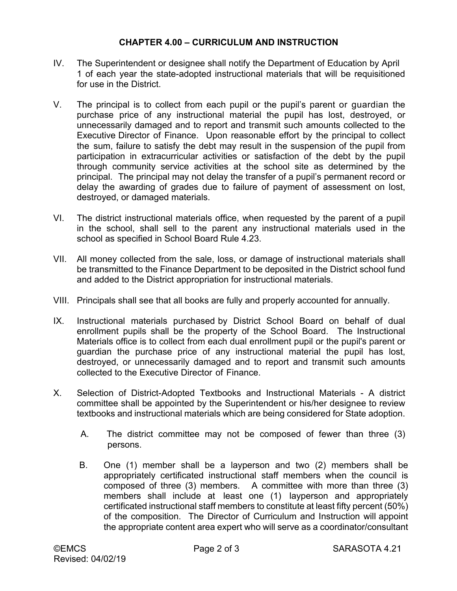## **CHAPTER 4.00 – CURRICULUM AND INSTRUCTION**

- IV. The Superintendent or designee shall notify the Department of Education by April 1 of each year the state-adopted instructional materials that will be requisitioned for use in the District.
- V. The principal is to collect from each pupil or the pupil's parent or guardian the purchase price of any instructional material the pupil has lost, destroyed, or unnecessarily damaged and to report and transmit such amounts collected to the Executive Director of Finance. Upon reasonable effort by the principal to collect the sum, failure to satisfy the debt may result in the suspension of the pupil from participation in extracurricular activities or satisfaction of the debt by the pupil through community service activities at the school site as determined by the principal. The principal may not delay the transfer of a pupil's permanent record or delay the awarding of grades due to failure of payment of assessment on lost, destroyed, or damaged materials.
- VI. The district instructional materials office, when requested by the parent of a pupil in the school, shall sell to the parent any instructional materials used in the school as specified in School Board Rule 4.23.
- VII. All money collected from the sale, loss, or damage of instructional materials shall be transmitted to the Finance Department to be deposited in the District school fund and added to the District appropriation for instructional materials.
- VIII. Principals shall see that all books are fully and properly accounted for annually.
- IX. Instructional materials purchased by District School Board on behalf of dual enrollment pupils shall be the property of the School Board. The Instructional Materials office is to collect from each dual enrollment pupil or the pupil's parent or guardian the purchase price of any instructional material the pupil has lost, destroyed, or unnecessarily damaged and to report and transmit such amounts collected to the Executive Director of Finance.
- X. Selection of District-Adopted Textbooks and Instructional Materials A district committee shall be appointed by the Superintendent or his/her designee to review textbooks and instructional materials which are being considered for State adoption.
	- A. The district committee may not be composed of fewer than three (3) persons.
	- B. One (1) member shall be a layperson and two (2) members shall be appropriately certificated instructional staff members when the council is composed of three (3) members. A committee with more than three (3) members shall include at least one (1) layperson and appropriately certificated instructional staff members to constitute at least fifty percent (50%) of the composition. The Director of Curriculum and Instruction will appoint the appropriate content area expert who will serve as a coordinator/consultant